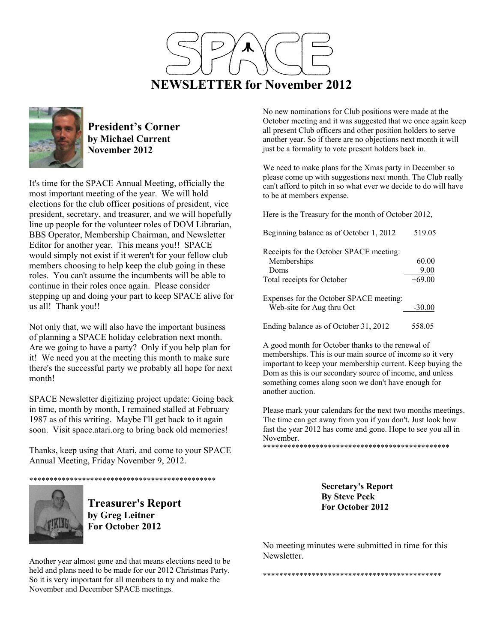



**President's Corner by Michael Current November 2012**

It's time for the SPACE Annual Meeting, officially the most important meeting of the year. We will hold elections for the club officer positions of president, vice president, secretary, and treasurer, and we will hopefully line up people for the volunteer roles of DOM Librarian, BBS Operator, Membership Chairman, and Newsletter Editor for another year. This means you!! SPACE would simply not exist if it weren't for your fellow club members choosing to help keep the club going in these roles. You can't assume the incumbents will be able to continue in their roles once again. Please consider stepping up and doing your part to keep SPACE alive for us all! Thank you!!

Not only that, we will also have the important business of planning a SPACE holiday celebration next month. Are we going to have a party? Only if you help plan for it! We need you at the meeting this month to make sure there's the successful party we probably all hope for next month!

SPACE Newsletter digitizing project update: Going back in time, month by month, I remained stalled at February 1987 as of this writing. Maybe I'll get back to it again soon. Visit space.atari.org to bring back old memories!

Thanks, keep using that Atari, and come to your SPACE Annual Meeting, Friday November 9, 2012.





**Treasurer's Report by Greg Leitner For October 2012** 

Another year almost gone and that means elections need to be held and plans need to be made for our 2012 Christmas Party. So it is very important for all members to try and make the November and December SPACE meetings.

No new nominations for Club positions were made at the October meeting and it was suggested that we once again keep all present Club officers and other position holders to serve another year. So if there are no objections next month it will just be a formality to vote present holders back in.

We need to make plans for the Xmas party in December so please come up with suggestions next month. The Club really can't afford to pitch in so what ever we decide to do will have to be at members expense.

Here is the Treasury for the month of October 2012,

| Beginning balance as of October 1, 2012 | 519.05   |
|-----------------------------------------|----------|
| Receipts for the October SPACE meeting: |          |
| Memberships                             | 60.00    |
| Doms                                    | 9.00     |
| Total receipts for October              | $+69.00$ |
| Expenses for the October SPACE meeting: |          |
| Web-site for Aug thru Oct               | $-30.00$ |
| Ending balance as of October 31, 2012   | 558.05   |

A good month for October thanks to the renewal of memberships. This is our main source of income so it very important to keep your membership current. Keep buying the Dom as this is our secondary source of income, and unless something comes along soon we don't have enough for another auction.

Please mark your calendars for the next two months meetings. The time can get away from you if you don't. Just look how fast the year 2012 has come and gone. Hope to see you all in November.

\*\*\*\*\*\*\*\*\*\*\*\*\*\*\*\*\*\*\*\*\*\*\*\*\*\*\*\*\*\*\*\*\*\*\*\*\*\*\*\*\*\*\*\*\*\*

**Secretary's Report By Steve Peck For October 2012** 

No meeting minutes were submitted in time for this Newsletter.

\*\*\*\*\*\*\*\*\*\*\*\*\*\*\*\*\*\*\*\*\*\*\*\*\*\*\*\*\*\*\*\*\*\*\*\*\*\*\*\*\*\*\*\*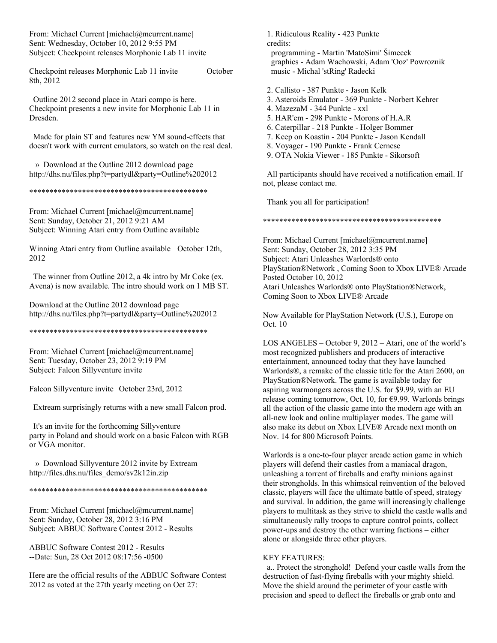From: Michael Current [michael@mcurrent.name] Sent: Wednesday, October 10, 2012 9:55 PM Subject: Checkpoint releases Morphonic Lab 11 invite

Checkpoint releases Morphonic Lab 11 invite October 8th, 2012

 Outline 2012 second place in Atari compo is here. Checkpoint presents a new invite for Morphonic Lab 11 in Dresden.

 Made for plain ST and features new YM sound-effects that doesn't work with current emulators, so watch on the real deal.

 » Download at the Outline 2012 download page http://dhs.nu/files.php?t=partydl&party=Outline%202012

\*\*\*\*\*\*\*\*\*\*\*\*\*\*\*\*\*\*\*\*\*\*\*\*\*\*\*\*\*\*\*\*\*\*\*\*\*\*\*\*\*\*\*\*

From: Michael Current [michael@mcurrent.name] Sent: Sunday, October 21, 2012 9:21 AM Subject: Winning Atari entry from Outline available

Winning Atari entry from Outline available October 12th, 2012

 The winner from Outline 2012, a 4k intro by Mr Coke (ex. Avena) is now available. The intro should work on 1 MB ST.

Download at the Outline 2012 download page http://dhs.nu/files.php?t=partydl&party=Outline%202012

\*\*\*\*\*\*\*\*\*\*\*\*\*\*\*\*\*\*\*\*\*\*\*\*\*\*\*\*\*\*\*\*\*\*\*\*\*\*\*\*\*\*\*\*

From: Michael Current [michael@mcurrent.name] Sent: Tuesday, October 23, 2012 9:19 PM Subject: Falcon Sillyventure invite

Falcon Sillyventure invite October 23rd, 2012

Extream surprisingly returns with a new small Falcon prod.

 It's an invite for the forthcoming Sillyventure party in Poland and should work on a basic Falcon with RGB or VGA monitor.

 » Download Sillyventure 2012 invite by Extream http://files.dhs.nu/files\_demo/sv2k12in.zip

\*\*\*\*\*\*\*\*\*\*\*\*\*\*\*\*\*\*\*\*\*\*\*\*\*\*\*\*\*\*\*\*\*\*\*\*\*\*\*\*\*\*\*\*

From: Michael Current [michael@mcurrent.name] Sent: Sunday, October 28, 2012 3:16 PM Subject: ABBUC Software Contest 2012 - Results

ABBUC Software Contest 2012 - Results --Date: Sun, 28 Oct 2012 08:17:56 -0500

Here are the official results of the ABBUC Software Contest 2012 as voted at the 27th yearly meeting on Oct 27:

 1. Ridiculous Reality - 423 Punkte credits: programming - Martin 'MatoSimi' Šimecek graphics - Adam Wachowski, Adam 'Ooz' Powroznik music - Michal 'stRing' Radecki

- 2. Callisto 387 Punkte Jason Kelk
- 3. Asteroids Emulator 369 Punkte Norbert Kehrer
- 4. MazezaM 344 Punkte xxl
- 5. HAR'em 298 Punkte Morons of H.A.R
- 6. Caterpillar 218 Punkte Holger Bommer
- 7. Keep on Koastin 204 Punkte Jason Kendall
- 8. Voyager 190 Punkte Frank Cernese
- 9. OTA Nokia Viewer 185 Punkte Sikorsoft

 All participants should have received a notification email. If not, please contact me.

Thank you all for participation!

\*\*\*\*\*\*\*\*\*\*\*\*\*\*\*\*\*\*\*\*\*\*\*\*\*\*\*\*\*\*\*\*\*\*\*\*\*\*\*\*\*\*\*\*

From: Michael Current [michael@mcurrent.name] Sent: Sunday, October 28, 2012 3:35 PM Subject: Atari Unleashes Warlords® onto PlayStation®Network , Coming Soon to Xbox LIVE® Arcade Posted October 10, 2012 Atari Unleashes Warlords® onto PlayStation®Network, Coming Soon to Xbox LIVE® Arcade

Now Available for PlayStation Network (U.S.), Europe on Oct. 10

LOS ANGELES – October 9, 2012 – Atari, one of the world's most recognized publishers and producers of interactive entertainment, announced today that they have launched Warlords®, a remake of the classic title for the Atari 2600, on PlayStation®Network. The game is available today for aspiring warmongers across the U.S. for \$9.99, with an EU release coming tomorrow, Oct. 10, for €9.99. Warlords brings all the action of the classic game into the modern age with an all-new look and online multiplayer modes. The game will also make its debut on Xbox LIVE® Arcade next month on Nov. 14 for 800 Microsoft Points.

Warlords is a one-to-four player arcade action game in which players will defend their castles from a maniacal dragon, unleashing a torrent of fireballs and crafty minions against their strongholds. In this whimsical reinvention of the beloved classic, players will face the ultimate battle of speed, strategy and survival. In addition, the game will increasingly challenge players to multitask as they strive to shield the castle walls and simultaneously rally troops to capture control points, collect power-ups and destroy the other warring factions – either alone or alongside three other players.

#### KEY FEATURES:

 a.. Protect the stronghold! Defend your castle walls from the destruction of fast-flying fireballs with your mighty shield. Move the shield around the perimeter of your castle with precision and speed to deflect the fireballs or grab onto and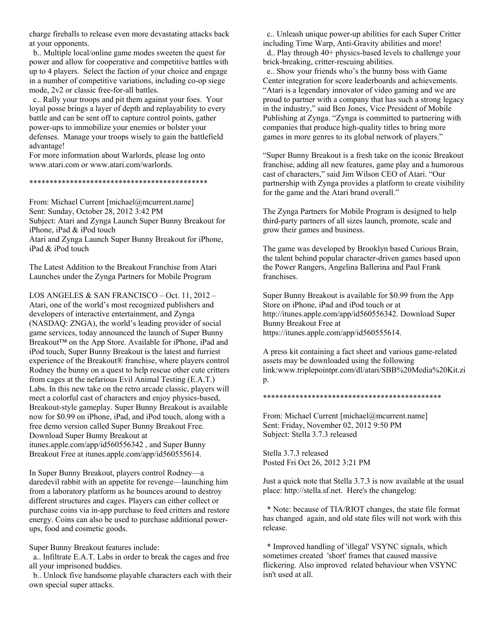charge fireballs to release even more devastating attacks back at your opponents.

 b.. Multiple local/online game modes sweeten the quest for power and allow for cooperative and competitive battles with up to 4 players. Select the faction of your choice and engage in a number of competitive variations, including co-op siege mode, 2v2 or classic free-for-all battles.

 c.. Rally your troops and pit them against your foes. Your loyal posse brings a layer of depth and replayability to every battle and can be sent off to capture control points, gather power-ups to immobilize your enemies or bolster your defenses. Manage your troops wisely to gain the battlefield advantage!

For more information about Warlords, please log onto www.atari.com or www.atari.com/warlords.

#### \*\*\*\*\*\*\*\*\*\*\*\*\*\*\*\*\*\*\*\*\*\*\*\*\*\*\*\*\*\*\*\*\*\*\*\*\*\*\*\*\*\*\*\*

From: Michael Current [michael@mcurrent.name] Sent: Sunday, October 28, 2012 3:42 PM Subject: Atari and Zynga Launch Super Bunny Breakout for iPhone, iPad & iPod touch Atari and Zynga Launch Super Bunny Breakout for iPhone, iPad & iPod touch

The Latest Addition to the Breakout Franchise from Atari Launches under the Zynga Partners for Mobile Program

LOS ANGELES & SAN FRANCISCO – Oct. 11, 2012 – Atari, one of the world's most recognized publishers and developers of interactive entertainment, and Zynga (NASDAQ: ZNGA), the world's leading provider of social game services, today announced the launch of Super Bunny Breakout™ on the App Store. Available for iPhone, iPad and iPod touch, Super Bunny Breakout is the latest and furriest experience of the Breakout® franchise, where players control Rodney the bunny on a quest to help rescue other cute critters from cages at the nefarious Evil Animal Testing (E.A.T.) Labs. In this new take on the retro arcade classic, players will meet a colorful cast of characters and enjoy physics-based, Breakout-style gameplay. Super Bunny Breakout is available now for \$0.99 on iPhone, iPad, and iPod touch, along with a free demo version called Super Bunny Breakout Free. Download Super Bunny Breakout at itunes.apple.com/app/id560556342 , and Super Bunny Breakout Free at itunes.apple.com/app/id560555614.

In Super Bunny Breakout, players control Rodney—a daredevil rabbit with an appetite for revenge—launching him from a laboratory platform as he bounces around to destroy different structures and cages. Players can either collect or purchase coins via in-app purchase to feed critters and restore energy. Coins can also be used to purchase additional powerups, food and cosmetic goods.

Super Bunny Breakout features include:

 a.. Infiltrate E.A.T. Labs in order to break the cages and free all your imprisoned buddies.

 b.. Unlock five handsome playable characters each with their own special super attacks.

 c.. Unleash unique power-up abilities for each Super Critter including Time Warp, Anti-Gravity abilities and more!

 d.. Play through 40+ physics-based levels to challenge your brick-breaking, critter-rescuing abilities.

 e.. Show your friends who's the bunny boss with Game Center integration for score leaderboards and achievements. "Atari is a legendary innovator of video gaming and we are proud to partner with a company that has such a strong legacy in the industry," said Ben Jones, Vice President of Mobile Publishing at Zynga. "Zynga is committed to partnering with companies that produce high-quality titles to bring more games in more genres to its global network of players."

"Super Bunny Breakout is a fresh take on the iconic Breakout franchise, adding all new features, game play and a humorous cast of characters," said Jim Wilson CEO of Atari. "Our partnership with Zynga provides a platform to create visibility for the game and the Atari brand overall."

The Zynga Partners for Mobile Program is designed to help third-party partners of all sizes launch, promote, scale and grow their games and business.

The game was developed by Brooklyn based Curious Brain, the talent behind popular character-driven games based upon the Power Rangers, Angelina Ballerina and Paul Frank franchises.

Super Bunny Breakout is available for \$0.99 from the App Store on iPhone, iPad and iPod touch or at http://itunes.apple.com/app/id560556342. Download Super Bunny Breakout Free at https://itunes.apple.com/app/id560555614.

A press kit containing a fact sheet and various game-related assets may be downloaded using the following link:www.triplepointpr.com/dl/atari/SBB%20Media%20Kit.zi p.

\*\*\*\*\*\*\*\*\*\*\*\*\*\*\*\*\*\*\*\*\*\*\*\*\*\*\*\*\*\*\*\*\*\*\*\*\*\*\*\*\*\*\*\*

From: Michael Current [michael@mcurrent.name] Sent: Friday, November 02, 2012 9:50 PM Subject: Stella 3.7.3 released

Stella 3.7.3 released Posted Fri Oct 26, 2012 3:21 PM

Just a quick note that Stella 3.7.3 is now available at the usual place: http://stella.sf.net. Here's the changelog:

 \* Note: because of TIA/RIOT changes, the state file format has changed again, and old state files will not work with this release.

 \* Improved handling of 'illegal' VSYNC signals, which sometimes created 'short' frames that caused massive flickering. Also improved related behaviour when VSYNC isn't used at all.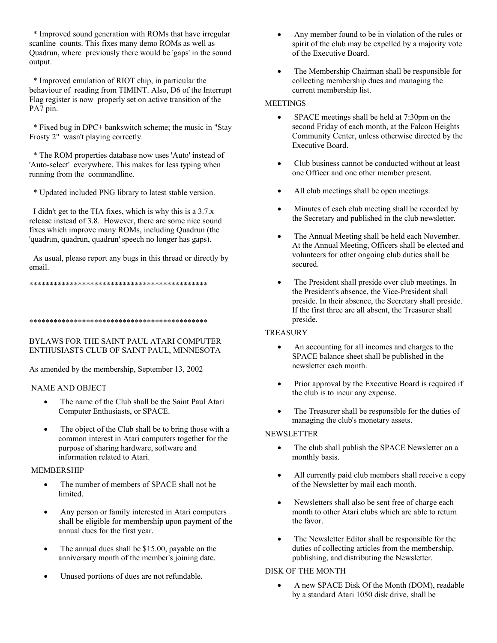\* Improved sound generation with ROMs that have irregular scanline counts. This fixes many demo ROMs as well as Quadrun, where previously there would be 'gaps' in the sound output.

\* Improved emulation of RIOT chip, in particular the behaviour of reading from TIMINT. Also, D6 of the Interrupt Flag register is now properly set on active transition of the PA7 pin.

\* Fixed bug in DPC+ bankswitch scheme; the music in "Stay" Frosty 2" wasn't playing correctly.

\* The ROM properties database now uses 'Auto' instead of 'Auto-select' everywhere. This makes for less typing when running from the commandline.

\* Updated included PNG library to latest stable version.

I didn't get to the TIA fixes, which is why this is a  $3.7.x$ release instead of 3.8. However, there are some nice sound fixes which improve many ROMs, including Quadrun (the 'quadrun, quadrun, quadrun' speech no longer has gaps).

As usual, please report any bugs in this thread or directly by email.

### BYLAWS FOR THE SAINT PAUL ATARI COMPUTER ENTHUSIASTS CLUB OF SAINT PAUL, MINNESOTA

As amended by the membership, September 13, 2002

### **NAME AND OBJECT**

- The name of the Club shall be the Saint Paul Atari  $\bullet$ Computer Enthusiasts, or SPACE.
- The object of the Club shall be to bring those with a common interest in Atari computers together for the purpose of sharing hardware, software and information related to Atari.

### **MEMBERSHIP**

- The number of members of SPACE shall not be limited.
- Any person or family interested in Atari computers shall be eligible for membership upon payment of the annual dues for the first year.
- The annual dues shall be \$15.00, payable on the anniversary month of the member's joining date.
- Unused portions of dues are not refundable.
- $\bullet$ Any member found to be in violation of the rules or spirit of the club may be expelled by a majority vote of the Executive Board.
- The Membership Chairman shall be responsible for collecting membership dues and managing the current membership list.

### **MEETINGS**

- SPACE meetings shall be held at 7:30pm on the second Friday of each month, at the Falcon Heights Community Center, unless otherwise directed by the **Executive Board.**
- Club business cannot be conducted without at least  $\bullet$ one Officer and one other member present.
- All club meetings shall be open meetings.
- Minutes of each club meeting shall be recorded by the Secretary and published in the club newsletter.
- The Annual Meeting shall be held each November.  $\bullet$ At the Annual Meeting, Officers shall be elected and volunteers for other ongoing club duties shall be secured.
- The President shall preside over club meetings. In the President's absence, the Vice-President shall preside. In their absence, the Secretary shall preside. If the first three are all absent, the Treasurer shall preside.

### **TREASURY**

- An accounting for all incomes and charges to the SPACE balance sheet shall be published in the newsletter each month.
- Prior approval by the Executive Board is required if the club is to incur any expense.
- The Treasurer shall be responsible for the duties of managing the club's monetary assets.

### **NEWSLETTER**

- The club shall publish the SPACE Newsletter on a monthly basis.
- All currently paid club members shall receive a copy  $\bullet$ of the Newsletter by mail each month.
- Newsletters shall also be sent free of charge each  $\bullet$ month to other Atari clubs which are able to return the favor
- The Newsletter Editor shall be responsible for the  $\bullet$ duties of collecting articles from the membership, publishing, and distributing the Newsletter.

## **DISK OF THE MONTH**

A new SPACE Disk Of the Month (DOM), readable by a standard Atari 1050 disk drive, shall be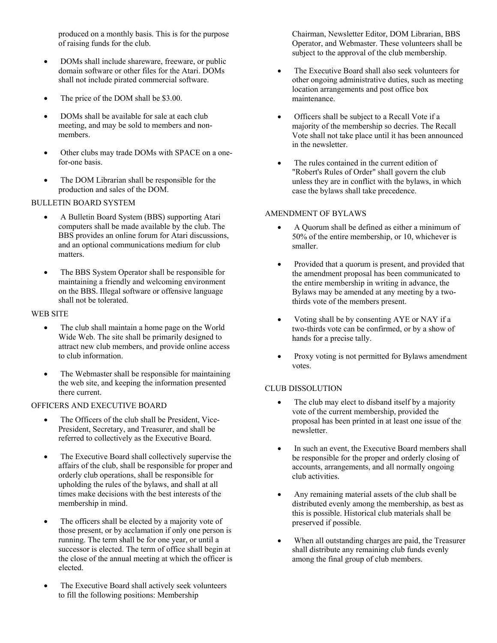produced on a monthly basis. This is for the purpose of raising funds for the club.

- DOMs shall include shareware, freeware, or public domain software or other files for the Atari. DOMs shall not include pirated commercial software.
- The price of the DOM shall be \$3.00.
- DOMs shall be available for sale at each club meeting, and may be sold to members and nonmembers.
- Other clubs may trade DOMs with SPACE on a onefor-one basis.
- The DOM Librarian shall be responsible for the production and sales of the DOM.

### BULLETIN BOARD SYSTEM

- A Bulletin Board System (BBS) supporting Atari computers shall be made available by the club. The BBS provides an online forum for Atari discussions, and an optional communications medium for club matters.
- The BBS System Operator shall be responsible for maintaining a friendly and welcoming environment on the BBS. Illegal software or offensive language shall not be tolerated.

### WEB SITE

- The club shall maintain a home page on the World Wide Web. The site shall be primarily designed to attract new club members, and provide online access to club information.
- The Webmaster shall be responsible for maintaining the web site, and keeping the information presented there current.

### OFFICERS AND EXECUTIVE BOARD

- The Officers of the club shall be President, Vice-President, Secretary, and Treasurer, and shall be referred to collectively as the Executive Board.
- The Executive Board shall collectively supervise the affairs of the club, shall be responsible for proper and orderly club operations, shall be responsible for upholding the rules of the bylaws, and shall at all times make decisions with the best interests of the membership in mind.
- The officers shall be elected by a majority vote of those present, or by acclamation if only one person is running. The term shall be for one year, or until a successor is elected. The term of office shall begin at the close of the annual meeting at which the officer is elected.
- The Executive Board shall actively seek volunteers to fill the following positions: Membership

Chairman, Newsletter Editor, DOM Librarian, BBS Operator, and Webmaster. These volunteers shall be subject to the approval of the club membership.

- The Executive Board shall also seek volunteers for other ongoing administrative duties, such as meeting location arrangements and post office box maintenance.
- Officers shall be subject to a Recall Vote if a majority of the membership so decries. The Recall Vote shall not take place until it has been announced in the newsletter
- The rules contained in the current edition of "Robert's Rules of Order" shall govern the club unless they are in conflict with the bylaws, in which case the bylaws shall take precedence.

### AMENDMENT OF BYLAWS

- A Quorum shall be defined as either a minimum of 50% of the entire membership, or 10, whichever is smaller.
- Provided that a quorum is present, and provided that the amendment proposal has been communicated to the entire membership in writing in advance, the Bylaws may be amended at any meeting by a twothirds vote of the members present.
- Voting shall be by consenting AYE or NAY if a two-thirds vote can be confirmed, or by a show of hands for a precise tally.
- Proxy voting is not permitted for Bylaws amendment votes.

### CLUB DISSOLUTION

- The club may elect to disband itself by a majority vote of the current membership, provided the proposal has been printed in at least one issue of the newsletter.
- In such an event, the Executive Board members shall be responsible for the proper and orderly closing of accounts, arrangements, and all normally ongoing club activities.
- Any remaining material assets of the club shall be distributed evenly among the membership, as best as this is possible. Historical club materials shall be preserved if possible.
- When all outstanding charges are paid, the Treasurer shall distribute any remaining club funds evenly among the final group of club members.